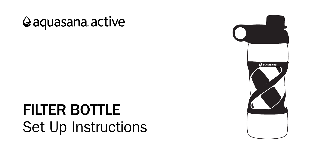## @aquasana active

# FILTER BOTTLE Set Up Instructions

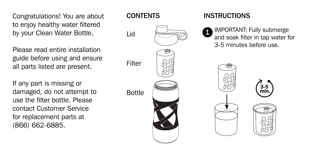Congratulations! You are about to enjoy healthy water filtered by your Clean Water Bottle.

Please read entire installation guide before using and ensure all parts listed are present.

If any part is missing or damaged, do not attempt to use the filter bottle. Please contact Customer Service for replacement parts at (866) 662-6885.



### **INSTRUCTIONS**

IMPORTANT: Fully submerge and soak filter in tap water for 3-5 minutes before use.





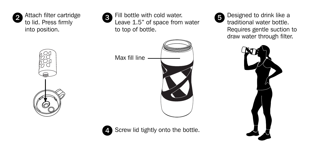

Attach filter cartridge to lid. Press firmly into position.



4

Fill bottle with cold water.  $2$  Attach filter cartridge<br>to lid. Press firmly  $2 \times 1.5$  of space from water to top of bottle.



Designed to drink like a traditional water bottle. Requires gentle suction to draw water through filter.





Screw lid tightly onto the bottle.

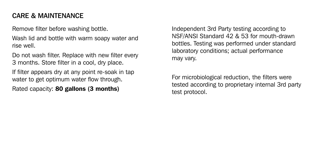#### CARE & MAINTENANCE

Remove filter before washing bottle.

Wash lid and bottle with warm soapy water and rise well.

Do not wash filter. Replace with new filter every 3 months. Store filter in a cool, dry place.

If filter appears dry at any point re-soak in tap water to get optimum water flow through.

Rated capacity: 80 gallons (3 months)

Independent 3rd Party testing according to NSF/ANSI Standard 42 & 53 for mouth-drawn bottles. Testing was performed under standard laboratory conditions; actual performance may vary.

For microbiological reduction, the filters were tested according to proprietary internal 3rd party test protocol.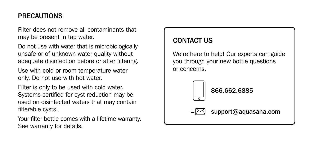#### PRECAUTIONS

Filter does not remove all contaminants that may be present in tap water.

Do not use with water that is microbiologically unsafe or of unknown water quality without adequate disinfection before or after filtering.

Use with cold or room temperature water only. Do not use with hot water.

Filter is only to be used with cold water. Systems certified for cyst reduction may be used on disinfected waters that may contain filterable cysts.

Your filter bottle comes with a lifetime warranty. See warranty for details.

#### CONTACT US

We're here to help! Our experts can guide you through your new bottle questions or concerns.